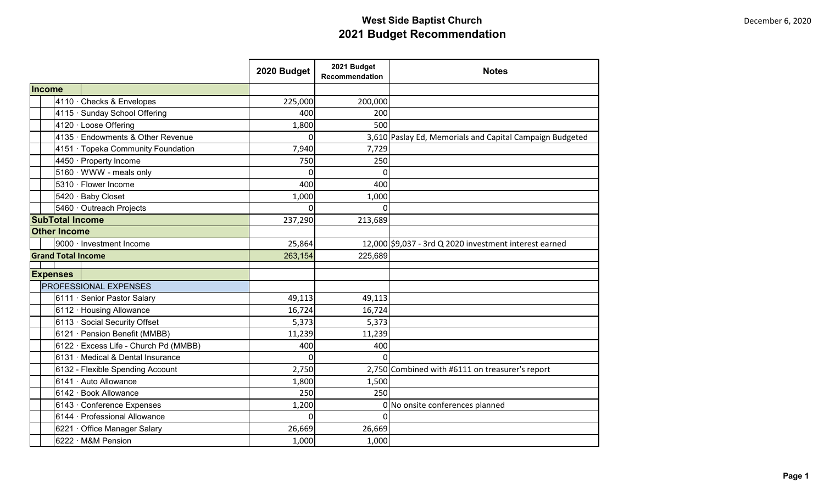|                                                 |                                       | 2020 Budget | 2021 Budget<br>Recommendation | <b>Notes</b>                                             |
|-------------------------------------------------|---------------------------------------|-------------|-------------------------------|----------------------------------------------------------|
| Income                                          |                                       |             |                               |                                                          |
|                                                 | 4110 · Checks & Envelopes             | 225,000     | 200,000                       |                                                          |
|                                                 | 4115 · Sunday School Offering         | 400         | 200                           |                                                          |
|                                                 | 4120 · Loose Offering                 | 1,800       | 500                           |                                                          |
|                                                 | 4135 · Endowments & Other Revenue     | $\Omega$    |                               | 3,610 Paslay Ed, Memorials and Capital Campaign Budgeted |
|                                                 | 4151 · Topeka Community Foundation    | 7,940       | 7,729                         |                                                          |
|                                                 | 4450 · Property Income                | 750         | 250                           |                                                          |
|                                                 | 5160 · WWW - meals only               | $\Omega$    | $\Omega$                      |                                                          |
|                                                 | 5310 · Flower Income                  | 400         | 400                           |                                                          |
|                                                 | 5420 · Baby Closet                    | 1,000       | 1,000                         |                                                          |
|                                                 | 5460 · Outreach Projects              | $\Omega$    | $\Omega$                      |                                                          |
| <b>SubTotal Income</b>                          |                                       | 237,290     | 213,689                       |                                                          |
| <b>Other Income</b>                             |                                       |             |                               |                                                          |
|                                                 | 9000 · Investment Income              | 25,864      |                               | 12,000 \$9,037 - 3rd Q 2020 investment interest earned   |
| <b>Grand Total Income</b>                       |                                       | 263,154     | 225,689                       |                                                          |
|                                                 |                                       |             |                               |                                                          |
| <b>Expenses</b><br><b>PROFESSIONAL EXPENSES</b> |                                       |             |                               |                                                          |
|                                                 | 6111 · Senior Pastor Salary           | 49,113      | 49,113                        |                                                          |
|                                                 | 6112 · Housing Allowance              | 16,724      | 16,724                        |                                                          |
|                                                 | 6113 · Social Security Offset         | 5,373       | 5,373                         |                                                          |
|                                                 | 6121 · Pension Benefit (MMBB)         | 11,239      | 11,239                        |                                                          |
|                                                 | 6122 · Excess Life - Church Pd (MMBB) | 400         | 400                           |                                                          |
|                                                 | 6131 · Medical & Dental Insurance     | $\Omega$    | $\Omega$                      |                                                          |
|                                                 | 6132 - Flexible Spending Account      | 2,750       |                               | 2,750 Combined with #6111 on treasurer's report          |
|                                                 | 6141 · Auto Allowance                 | 1,800       | 1,500                         |                                                          |
|                                                 | 6142 · Book Allowance                 | 250         | 250                           |                                                          |
|                                                 | 6143 · Conference Expenses            | 1,200       |                               | 0 No onsite conferences planned                          |
|                                                 | 6144 · Professional Allowance         | $\Omega$    |                               |                                                          |
|                                                 | 6221 · Office Manager Salary          | 26,669      | 26,669                        |                                                          |
|                                                 | 6222 · M&M Pension                    | 1,000       | 1,000                         |                                                          |
|                                                 |                                       |             |                               |                                                          |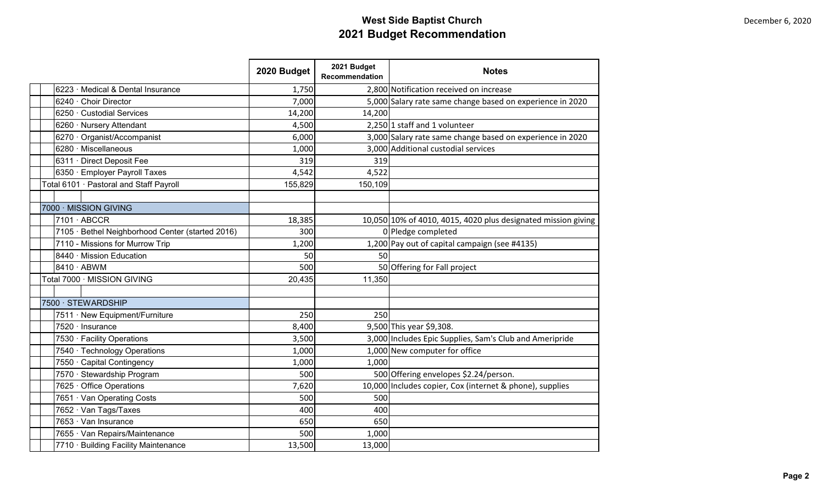|                                                  | 2020 Budget | 2021 Budget<br>Recommendation | <b>Notes</b>                                                  |
|--------------------------------------------------|-------------|-------------------------------|---------------------------------------------------------------|
| 6223 · Medical & Dental Insurance                | 1,750       |                               | 2,800 Notification received on increase                       |
| 6240 · Choir Director                            | 7,000       |                               | 5,000 Salary rate same change based on experience in 2020     |
| 6250 · Custodial Services                        | 14,200      | 14,200                        |                                                               |
| 6260 · Nursery Attendant                         | 4,500       |                               | $2,250$ 1 staff and 1 volunteer                               |
| 6270 · Organist/Accompanist                      | 6,000       |                               | 3,000 Salary rate same change based on experience in 2020     |
| 6280 · Miscellaneous                             | 1,000       |                               | 3,000 Additional custodial services                           |
| 6311 · Direct Deposit Fee                        | 319         | 319                           |                                                               |
| 6350 · Employer Payroll Taxes                    | 4,542       | 4,522                         |                                                               |
| Total 6101 · Pastoral and Staff Payroll          | 155,829     | 150,109                       |                                                               |
|                                                  |             |                               |                                                               |
| 7000 · MISSION GIVING                            |             |                               |                                                               |
| $7101 \cdot ABCCR$                               | 18,385      |                               | 10,050 10% of 4010, 4015, 4020 plus designated mission giving |
| 7105 · Bethel Neighborhood Center (started 2016) | 300         |                               | 0 Pledge completed                                            |
| 7110 - Missions for Murrow Trip                  | 1,200       |                               | 1,200 Pay out of capital campaign (see #4135)                 |
| 8440 · Mission Education                         | 50          | 50                            |                                                               |
| 8410 · ABWM                                      | 500         |                               | 50 Offering for Fall project                                  |
| Total 7000 · MISSION GIVING                      | 20,435      | 11,350                        |                                                               |
|                                                  |             |                               |                                                               |
| 7500 · STEWARDSHIP                               |             |                               |                                                               |
| 7511 · New Equipment/Furniture                   | 250         | 250                           |                                                               |
| 7520 · Insurance                                 | 8,400       |                               | 9,500 This year \$9,308.                                      |
| 7530 · Facility Operations                       | 3,500       |                               | 3,000 Includes Epic Supplies, Sam's Club and Ameripride       |
| 7540 · Technology Operations                     | 1,000       |                               | 1,000 New computer for office                                 |
| 7550 · Capital Contingency                       | 1,000       | 1,000                         |                                                               |
| 7570 · Stewardship Program                       | 500         |                               | 500 Offering envelopes \$2.24/person.                         |
| 7625 · Office Operations                         | 7,620       |                               | 10,000 Includes copier, Cox (internet & phone), supplies      |
| 7651 · Van Operating Costs                       | 500         | 500                           |                                                               |
| 7652 · Van Tags/Taxes                            | 400         | 400                           |                                                               |
| 7653 · Van Insurance                             | 650         | 650                           |                                                               |
| 7655 · Van Repairs/Maintenance                   | 500         | 1,000                         |                                                               |
| 7710 · Building Facility Maintenance             | 13,500      | 13,000                        |                                                               |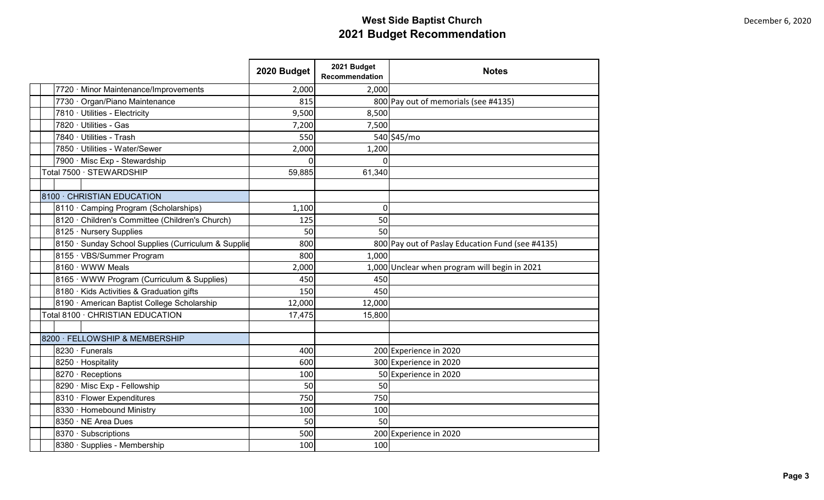|                                                     | 2020 Budget | 2021 Budget<br>Recommendation | <b>Notes</b>                                     |
|-----------------------------------------------------|-------------|-------------------------------|--------------------------------------------------|
| 7720 · Minor Maintenance/Improvements               | 2,000       | 2,000                         |                                                  |
| 7730 · Organ/Piano Maintenance                      | 815         |                               | 800 Pay out of memorials (see #4135)             |
| 7810 · Utilities - Electricity                      | 9,500       | 8,500                         |                                                  |
| 7820 · Utilities - Gas                              | 7,200       | 7,500                         |                                                  |
| 7840 · Utilities - Trash                            | 550         |                               | 540 \$45/mo                                      |
| 7850 · Utilities - Water/Sewer                      | 2,000       | 1,200                         |                                                  |
| 7900 · Misc Exp - Stewardship                       | O           | 0                             |                                                  |
| Total 7500 · STEWARDSHIP                            | 59,885      | 61,340                        |                                                  |
|                                                     |             |                               |                                                  |
| 8100 · CHRISTIAN EDUCATION                          |             |                               |                                                  |
| 8110 · Camping Program (Scholarships)               | 1,100       | 0                             |                                                  |
| 8120 · Children's Committee (Children's Church)     | 125         | 50                            |                                                  |
| 8125 · Nursery Supplies                             | 50          | 50                            |                                                  |
| 8150 · Sunday School Supplies (Curriculum & Supplie | 800         |                               | 800 Pay out of Paslay Education Fund (see #4135) |
| 8155 · VBS/Summer Program                           | 800         | 1,000                         |                                                  |
| 8160 · WWW Meals                                    | 2,000       |                               | 1,000 Unclear when program will begin in 2021    |
| 8165 · WWW Program (Curriculum & Supplies)          | 450         | 450                           |                                                  |
| 8180 · Kids Activities & Graduation gifts           | 150         | 450                           |                                                  |
| 8190 · American Baptist College Scholarship         | 12,000      | 12,000                        |                                                  |
| Total 8100 · CHRISTIAN EDUCATION                    | 17,475      | 15,800                        |                                                  |
|                                                     |             |                               |                                                  |
| 8200 · FELLOWSHIP & MEMBERSHIP                      |             |                               |                                                  |
| 8230 · Funerals                                     | 400         |                               | 200 Experience in 2020                           |
| 8250 · Hospitality                                  | 600         |                               | 300 Experience in 2020                           |
| 8270 · Receptions                                   | 100         |                               | 50 Experience in 2020                            |
| 8290 · Misc Exp - Fellowship                        | 50          | 50                            |                                                  |
| 8310 · Flower Expenditures                          | 750         | 750                           |                                                  |
| 8330 · Homebound Ministry                           | 100         | 100                           |                                                  |
| 8350 · NE Area Dues                                 | 50          | 50                            |                                                  |
| 8370 · Subscriptions                                | 500         |                               | 200 Experience in 2020                           |
| 8380 · Supplies - Membership                        | 100         | 100                           |                                                  |